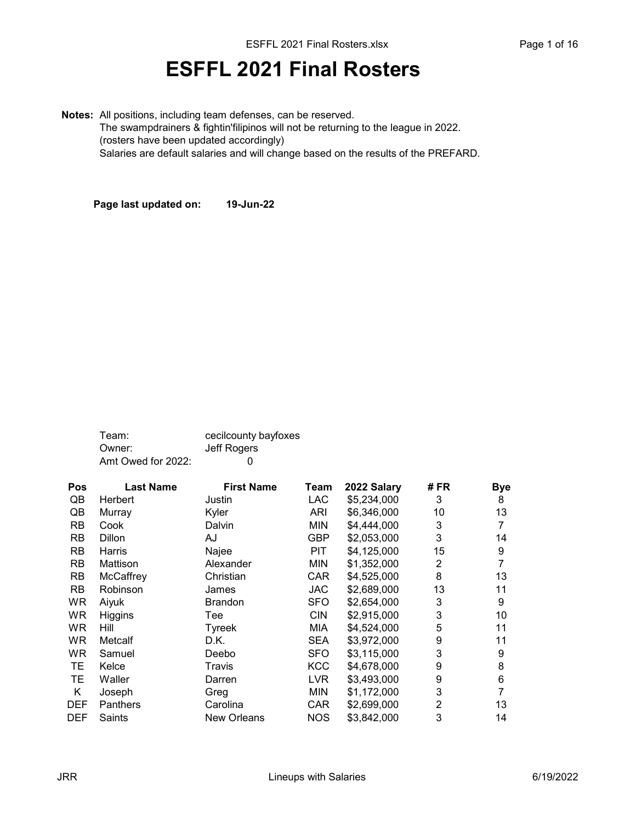## ESFFL 2021 Final Rosters

Notes: All positions, including team defenses, can be reserved. The swampdrainers & fightin'filipinos will not be returning to the league in 2022. (rosters have been updated accordingly) Salaries are default salaries and will change based on the results of the PREFARD.

Page last updated on: 19-Jun-22

| Team:              | cecilcounty bayfoxes |
|--------------------|----------------------|
| Owner:             | Jeff Rogers          |
| Amt Owed for 2022: | $\mathbf{I}$         |

| Pos        | <b>Last Name</b> | <b>First Name</b>  | <b>Team</b> | 2022 Salary | # FR | <b>Bye</b> |
|------------|------------------|--------------------|-------------|-------------|------|------------|
| QB         | Herbert          | Justin             | LAC         | \$5,234,000 | 3    | 8          |
| QB         | Murray           | Kyler              | ARI         | \$6,346,000 | 10   | 13         |
| RB         | Cook             | Dalvin             | <b>MIN</b>  | \$4,444,000 | 3    | 7          |
| <b>RB</b>  | <b>Dillon</b>    | AJ                 | GBP         | \$2,053,000 | 3    | 14         |
| <b>RB</b>  | Harris           | Najee              | <b>PIT</b>  | \$4,125,000 | 15   | 9          |
| <b>RB</b>  | Mattison         | Alexander          | <b>MIN</b>  | \$1,352,000 | 2    | 7          |
| <b>RB</b>  | McCaffrey        | Christian          | <b>CAR</b>  | \$4,525,000 | 8    | 13         |
| <b>RB</b>  | Robinson         | James              | <b>JAC</b>  | \$2,689,000 | 13   | 11         |
| WR         | Aiyuk            | <b>Brandon</b>     | SFO         | \$2,654,000 | 3    | 9          |
| <b>WR</b>  | Higgins          | Tee                | <b>CIN</b>  | \$2,915,000 | 3    | 10         |
| WR.        | Hill             | Tyreek             | MIA         | \$4,524,000 | 5    | 11         |
| WR.        | Metcalf          | D.K.               | SEA         | \$3,972,000 | 9    | 11         |
| WR         | Samuel           | Deebo              | <b>SFO</b>  | \$3,115,000 | 3    | 9          |
| TE.        | Kelce            | Travis             | <b>KCC</b>  | \$4,678,000 | 9    | 8          |
| TЕ         | Waller           | Darren             | LVR.        | \$3,493,000 | 9    | 6          |
| Κ          | Joseph           | Greg               | <b>MIN</b>  | \$1,172,000 | 3    | 7          |
| <b>DEF</b> | <b>Panthers</b>  | Carolina           | <b>CAR</b>  | \$2,699,000 | 2    | 13         |
| <b>DEF</b> | Saints           | <b>New Orleans</b> | <b>NOS</b>  | \$3,842,000 | 3    | 14         |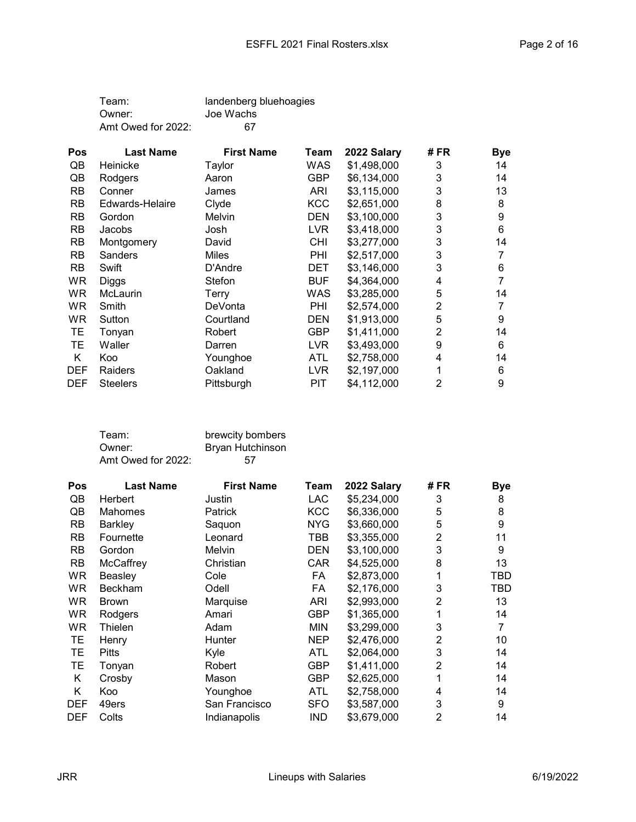| Team:              | landenberg bluehoagies |
|--------------------|------------------------|
| Owner:             | Joe Wachs              |
| Amt Owed for 2022: | 67                     |

| <b>Pos</b> | <b>Last Name</b> | <b>First Name</b> | Team       | 2022 Salary | # FR | <b>Bye</b> |
|------------|------------------|-------------------|------------|-------------|------|------------|
| QB         | Heinicke         | Taylor            | WAS        | \$1,498,000 | 3    | 14         |
| QB         | Rodgers          | Aaron             | GBP        | \$6,134,000 | 3    | 14         |
| <b>RB</b>  | Conner           | James             | ARI        | \$3,115,000 | 3    | 13         |
| <b>RB</b>  | Edwards-Helaire  | Clyde             | <b>KCC</b> | \$2,651,000 | 8    | 8          |
| <b>RB</b>  | Gordon           | Melvin            | <b>DEN</b> | \$3,100,000 | 3    | 9          |
| <b>RB</b>  | Jacobs           | Josh              | <b>LVR</b> | \$3,418,000 | 3    | 6          |
| <b>RB</b>  | Montgomery       | David             | <b>CHI</b> | \$3,277,000 | 3    | 14         |
| <b>RB</b>  | Sanders          | <b>Miles</b>      | PHI        | \$2,517,000 | 3    |            |
| <b>RB</b>  | Swift            | D'Andre           | DET        | \$3,146,000 | 3    | 6          |
| WR.        | Diggs            | Stefon            | <b>BUF</b> | \$4,364,000 | 4    |            |
| <b>WR</b>  | <b>McLaurin</b>  | Terry             | WAS        | \$3,285,000 | 5    | 14         |
| <b>WR</b>  | Smith            | DeVonta           | PHI        | \$2,574,000 | 2    |            |
| WR.        | Sutton           | Courtland         | <b>DEN</b> | \$1,913,000 | 5    | 9          |
| TЕ         | Tonyan           | Robert            | GBP        | \$1,411,000 | 2    | 14         |
| TЕ         | Waller           | Darren            | LVR        | \$3,493,000 | 9    | 6          |
| Κ          | Koo              | Younghoe          | <b>ATL</b> | \$2,758,000 | 4    | 14         |
| <b>DEF</b> | Raiders          | Oakland           | <b>LVR</b> | \$2,197,000 |      | 6          |
| <b>DEF</b> | <b>Steelers</b>  | Pittsburgh        | PIT        | \$4,112,000 | 2    | 9          |

| Team:              | brewcity bombers |
|--------------------|------------------|
| Owner:             | Bryan Hutchinson |
| Amt Owed for 2022: | .57              |

| Pos        | <b>Last Name</b> | <b>First Name</b> | Team       | 2022 Salary | # FR           | <b>Bye</b> |
|------------|------------------|-------------------|------------|-------------|----------------|------------|
| QB         | Herbert          | Justin            | <b>LAC</b> | \$5,234,000 | 3              | 8          |
| QB         | <b>Mahomes</b>   | <b>Patrick</b>    | <b>KCC</b> | \$6,336,000 | 5              | 8          |
| RB.        | Barkley          | Saquon            | <b>NYG</b> | \$3,660,000 | 5              | 9          |
| <b>RB</b>  | Fournette        | Leonard           | TBB        | \$3,355,000 | $\overline{2}$ | 11         |
| <b>RB</b>  | Gordon           | Melvin            | <b>DEN</b> | \$3,100,000 | 3              | 9          |
| <b>RB</b>  | McCaffrey        | Christian         | <b>CAR</b> | \$4,525,000 | 8              | 13         |
| <b>WR</b>  | Beasley          | Cole              | FA         | \$2,873,000 |                | TBD        |
| WR.        | <b>Beckham</b>   | Odell             | FA         | \$2,176,000 | 3              | TBD        |
| <b>WR</b>  | <b>Brown</b>     | Marquise          | <b>ARI</b> | \$2,993,000 | 2              | 13         |
| <b>WR</b>  | Rodgers          | Amari             | <b>GBP</b> | \$1,365,000 |                | 14         |
| WR         | Thielen          | Adam              | <b>MIN</b> | \$3,299,000 | 3              | 7          |
| TE.        | Henry            | Hunter            | <b>NEP</b> | \$2,476,000 | 2              | 10         |
| TЕ         | <b>Pitts</b>     | Kyle              | <b>ATL</b> | \$2,064,000 | 3              | 14         |
| TЕ         | Tonyan           | Robert            | <b>GBP</b> | \$1,411,000 | $\overline{2}$ | 14         |
| K          | Crosby           | Mason             | <b>GBP</b> | \$2,625,000 |                | 14         |
| Κ          | Koo              | Younghoe          | <b>ATL</b> | \$2,758,000 | 4              | 14         |
| <b>DEF</b> | 49ers            | San Francisco     | <b>SFO</b> | \$3,587,000 | 3              | 9          |
| <b>DEF</b> | Colts            | Indianapolis      | <b>IND</b> | \$3,679,000 | $\overline{2}$ | 14         |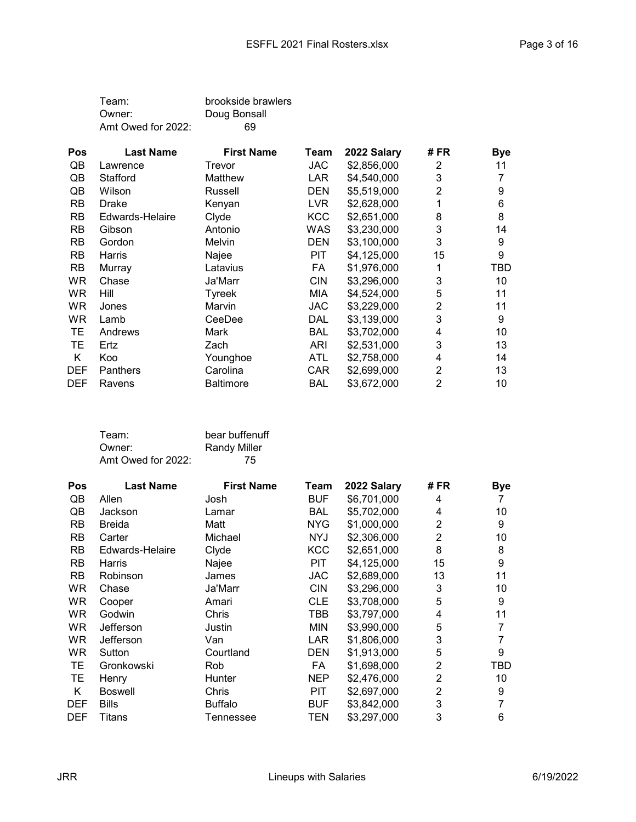| Team:              | brookside brawlers |
|--------------------|--------------------|
| Owner:             | Doug Bonsall       |
| Amt Owed for 2022: | 69                 |

| <b>Pos</b> | <b>Last Name</b> | <b>First Name</b> | Team       | 2022 Salary | # FR | <b>Bye</b> |
|------------|------------------|-------------------|------------|-------------|------|------------|
| QB         | Lawrence         | Trevor            | <b>JAC</b> | \$2,856,000 | 2    | 11         |
| QB         | Stafford         | Matthew           | LAR.       | \$4,540,000 | 3    |            |
| QB         | Wilson           | Russell           | <b>DEN</b> | \$5,519,000 | 2    | 9          |
| <b>RB</b>  | Drake            | Kenyan            | LVR.       | \$2,628,000 |      | 6          |
| <b>RB</b>  | Edwards-Helaire  | Clyde             | <b>KCC</b> | \$2,651,000 | 8    | 8          |
| <b>RB</b>  | Gibson           | Antonio           | WAS        | \$3,230,000 | 3    | 14         |
| <b>RB</b>  | Gordon           | Melvin            | <b>DEN</b> | \$3,100,000 | 3    | 9          |
| <b>RB</b>  | Harris           | Najee             | PIT        | \$4,125,000 | 15   | 9          |
| <b>RB</b>  | Murray           | Latavius          | FA         | \$1,976,000 |      | TBD        |
| <b>WR</b>  | Chase            | Ja'Marr           | <b>CIN</b> | \$3,296,000 | 3    | 10         |
| <b>WR</b>  | Hill             | Tyreek            | MIA        | \$4,524,000 | 5    | 11         |
| <b>WR</b>  | Jones            | Marvin            | JAC        | \$3,229,000 | 2    | 11         |
| WR.        | Lamb             | CeeDee            | DAL        | \$3,139,000 | 3    | 9          |
| TЕ         | Andrews          | Mark              | BAL        | \$3,702,000 | 4    | 10         |
| TЕ         | Ertz             | Zach              | ARI        | \$2,531,000 | 3    | 13         |
| Κ          | Koo              | Younghoe          | ATL        | \$2,758,000 | 4    | 14         |
| <b>DEF</b> | Panthers         | Carolina          | <b>CAR</b> | \$2,699,000 | 2    | 13         |
| <b>DEF</b> | Ravens           | <b>Baltimore</b>  | BAL        | \$3,672,000 | 2    | 10         |

| Team:              | bear buffenuff      |
|--------------------|---------------------|
| Owner:             | <b>Randy Miller</b> |
| Amt Owed for 2022: | 75                  |

| <b>Pos</b> | <b>Last Name</b> | <b>First Name</b> | Team       | 2022 Salary | # FR           | <b>Bye</b> |
|------------|------------------|-------------------|------------|-------------|----------------|------------|
| QB         | Allen            | Josh              | <b>BUF</b> | \$6,701,000 | 4              |            |
| QB         | Jackson          | Lamar             | <b>BAL</b> | \$5,702,000 | 4              | 10         |
| <b>RB</b>  | <b>Breida</b>    | Matt              | <b>NYG</b> | \$1,000,000 | $\overline{2}$ | 9          |
| <b>RB</b>  | Carter           | Michael           | <b>NYJ</b> | \$2,306,000 | 2              | 10         |
| <b>RB</b>  | Edwards-Helaire  | Clyde             | <b>KCC</b> | \$2,651,000 | 8              | 8          |
| <b>RB</b>  | Harris           | Najee             | <b>PIT</b> | \$4,125,000 | 15             | 9          |
| <b>RB</b>  | Robinson         | James             | <b>JAC</b> | \$2,689,000 | 13             | 11         |
| WR.        | Chase            | Ja'Marr           | <b>CIN</b> | \$3,296,000 | 3              | 10         |
| <b>WR</b>  | Cooper           | Amari             | <b>CLE</b> | \$3,708,000 | 5              | 9          |
| <b>WR</b>  | Godwin           | Chris             | TBB        | \$3,797,000 | 4              | 11         |
| <b>WR</b>  | Jefferson        | Justin            | <b>MIN</b> | \$3,990,000 | 5              | 7          |
| <b>WR</b>  | Jefferson        | Van               | LAR        | \$1,806,000 | 3              | 7          |
| <b>WR</b>  | Sutton           | Courtland         | <b>DEN</b> | \$1,913,000 | 5              | 9          |
| TE.        | Gronkowski       | Rob               | FA         | \$1,698,000 | 2              | TBD        |
| TЕ         | Henry            | Hunter            | <b>NEP</b> | \$2,476,000 | $\overline{2}$ | 10         |
| K          | <b>Boswell</b>   | Chris             | <b>PIT</b> | \$2,697,000 | $\overline{2}$ | 9          |
| <b>DEF</b> | <b>Bills</b>     | <b>Buffalo</b>    | <b>BUF</b> | \$3,842,000 | 3              | 7          |
| <b>DEF</b> | Titans           | Tennessee         | TEN        | \$3,297,000 | 3              | 6          |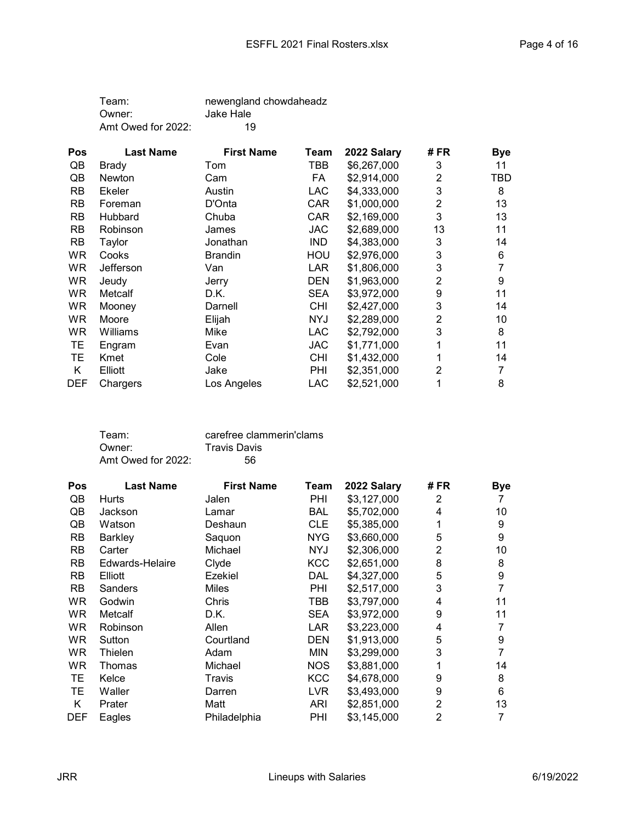| Team:              | newengland chowdaheadz |
|--------------------|------------------------|
| Owner:             | Jake Hale              |
| Amt Owed for 2022: | 19                     |

| Pos        | <b>Last Name</b> | <b>First Name</b> | Team       | 2022 Salary | # FR | <b>Bye</b> |
|------------|------------------|-------------------|------------|-------------|------|------------|
| QB         | Brady            | Tom               | TBB        | \$6,267,000 | 3    | 11         |
| QB         | Newton           | Cam               | FA         | \$2,914,000 | 2    | <b>TBD</b> |
| <b>RB</b>  | <b>Ekeler</b>    | Austin            | LAC        | \$4,333,000 | 3    | 8          |
| <b>RB</b>  | Foreman          | D'Onta            | <b>CAR</b> | \$1,000,000 | 2    | 13         |
| <b>RB</b>  | <b>Hubbard</b>   | Chuba             | <b>CAR</b> | \$2,169,000 | 3    | 13         |
| <b>RB</b>  | Robinson         | James             | JAC        | \$2,689,000 | 13   | 11         |
| <b>RB</b>  | Taylor           | Jonathan          | <b>IND</b> | \$4,383,000 | 3    | 14         |
| WR         | Cooks            | <b>Brandin</b>    | HOU        | \$2,976,000 | 3    | 6          |
| WR.        | Jefferson        | Van               | LAR        | \$1,806,000 | 3    | 7          |
| WR.        | Jeudy            | Jerry             | <b>DEN</b> | \$1,963,000 | 2    | 9          |
| WR.        | Metcalf          | D.K.              | <b>SEA</b> | \$3,972,000 | 9    | 11         |
| <b>WR</b>  | Mooney           | Darnell           | <b>CHI</b> | \$2,427,000 | 3    | 14         |
| <b>WR</b>  | Moore            | Elijah            | <b>NYJ</b> | \$2,289,000 | 2    | 10         |
| WR.        | Williams         | Mike              | <b>LAC</b> | \$2,792,000 | 3    | 8          |
| TE         | Engram           | Evan              | JAC        | \$1,771,000 | 1    | 11         |
| TЕ         | Kmet             | Cole              | <b>CHI</b> | \$1,432,000 |      | 14         |
| Κ          | Elliott          | Jake              | PHI        | \$2,351,000 | 2    | 7          |
| <b>DEF</b> | Chargers         | Los Angeles       | <b>LAC</b> | \$2,521,000 | 1    | 8          |

| Team:              | carefree clammerin'clams |
|--------------------|--------------------------|
| Owner:             | <b>Travis Davis</b>      |
| Amt Owed for 2022: | 56.                      |

| Pos        | <b>Last Name</b> | <b>First Name</b> | Team       | 2022 Salary | # FR           | <b>Bye</b> |
|------------|------------------|-------------------|------------|-------------|----------------|------------|
| QB         | Hurts            | Jalen             | <b>PHI</b> | \$3,127,000 | 2              |            |
| QB         | Jackson          | Lamar             | <b>BAL</b> | \$5,702,000 | 4              | 10         |
| QB         | Watson           | Deshaun           | <b>CLE</b> | \$5,385,000 | 1              | 9          |
| <b>RB</b>  | Barkley          | Saquon            | <b>NYG</b> | \$3,660,000 | 5              | 9          |
| <b>RB</b>  | Carter           | Michael           | <b>NYJ</b> | \$2,306,000 | 2              | 10         |
| <b>RB</b>  | Edwards-Helaire  | Clyde             | <b>KCC</b> | \$2,651,000 | 8              | 8          |
| <b>RB</b>  | Elliott          | Ezekiel           | DAL        | \$4,327,000 | 5              | 9          |
| <b>RB</b>  | <b>Sanders</b>   | <b>Miles</b>      | <b>PHI</b> | \$2,517,000 | 3              | 7          |
| WR.        | Godwin           | Chris             | TBB        | \$3,797,000 | 4              | 11         |
| WR.        | Metcalf          | D.K.              | <b>SEA</b> | \$3,972,000 | 9              | 11         |
| WR.        | Robinson         | Allen             | LAR        | \$3,223,000 | 4              | 7          |
| WR.        | Sutton           | Courtland         | <b>DEN</b> | \$1,913,000 | 5              | 9          |
| <b>WR</b>  | Thielen          | Adam              | <b>MIN</b> | \$3,299,000 | 3              | 7          |
| WR         | Thomas           | Michael           | <b>NOS</b> | \$3,881,000 | 1              | 14         |
| TЕ         | Kelce            | Travis            | <b>KCC</b> | \$4,678,000 | 9              | 8          |
| TЕ         | Waller           | Darren            | LVR.       | \$3,493,000 | 9              | 6          |
| Κ          | Prater           | Matt              | ARI        | \$2,851,000 | $\overline{2}$ | 13         |
| <b>DEF</b> | Eagles           | Philadelphia      | PHI        | \$3,145,000 | $\overline{2}$ | 7          |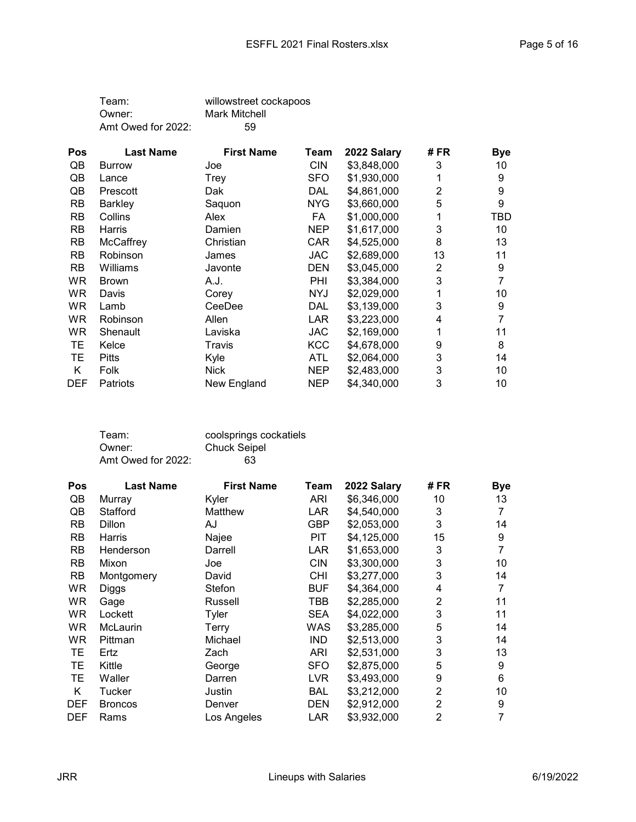| Team:              | willowstreet cockapoos |
|--------------------|------------------------|
| Owner:             | Mark Mitchell          |
| Amt Owed for 2022: | 59                     |

| Pos        | <b>Last Name</b> | <b>First Name</b> | Team       | 2022 Salary | # FR | <b>Bye</b> |
|------------|------------------|-------------------|------------|-------------|------|------------|
| QB         | <b>Burrow</b>    | Joe               | <b>CIN</b> | \$3,848,000 | 3    | 10         |
| QB         | Lance            | Trey              | <b>SFO</b> | \$1,930,000 |      | 9          |
| QB         | Prescott         | Dak               | DAL        | \$4,861,000 | 2    | 9          |
| <b>RB</b>  | Barkley          | Saquon            | NYG        | \$3,660,000 | 5    | 9          |
| <b>RB</b>  | Collins          | Alex              | FA         | \$1,000,000 |      | TBD        |
| <b>RB</b>  | Harris           | Damien            | <b>NEP</b> | \$1,617,000 | 3    | 10         |
| <b>RB</b>  | McCaffrey        | Christian         | <b>CAR</b> | \$4,525,000 | 8    | 13         |
| <b>RB</b>  | Robinson         | James             | JAC        | \$2,689,000 | 13   | 11         |
| <b>RB</b>  | Williams         | Javonte           | <b>DEN</b> | \$3,045,000 | 2    | 9          |
| WR.        | <b>Brown</b>     | A.J.              | <b>PHI</b> | \$3,384,000 | 3    | 7          |
| WR.        | Davis            | Corey             | <b>NYJ</b> | \$2,029,000 | 1    | 10         |
| WR.        | Lamb             | CeeDee            | DAL        | \$3,139,000 | 3    | 9          |
| WR.        | Robinson         | Allen             | LAR        | \$3,223,000 | 4    | 7          |
| WR.        | Shenault         | Laviska           | <b>JAC</b> | \$2,169,000 | 1    | 11         |
| TЕ         | Kelce            | Travis            | <b>KCC</b> | \$4,678,000 | 9    | 8          |
| TЕ         | <b>Pitts</b>     | Kyle              | ATL        | \$2,064,000 | 3    | 14         |
| Κ          | Folk             | <b>Nick</b>       | NEP        | \$2,483,000 | 3    | 10         |
| <b>DEF</b> | <b>Patriots</b>  | New England       | NEP        | \$4,340,000 | 3    | 10         |

| Team:              | coolsprings cockatiels |
|--------------------|------------------------|
| Owner:             | <b>Chuck Seipel</b>    |
| Amt Owed for 2022: | 63                     |

| <b>Pos</b> | <b>Last Name</b> | <b>First Name</b> | Team       | 2022 Salary | # FR           | <b>Bye</b> |
|------------|------------------|-------------------|------------|-------------|----------------|------------|
| QB         | Murray           | Kyler             | ARI        | \$6,346,000 | 10             | 13         |
| QB         | Stafford         | Matthew           | <b>LAR</b> | \$4,540,000 | 3              | 7          |
| <b>RB</b>  | Dillon           | AJ                | GBP        | \$2,053,000 | 3              | 14         |
| <b>RB</b>  | Harris           | Najee             | PIT        | \$4,125,000 | 15             | 9          |
| <b>RB</b>  | Henderson        | Darrell           | <b>LAR</b> | \$1,653,000 | 3              | 7          |
| <b>RB</b>  | Mixon            | Joe               | <b>CIN</b> | \$3,300,000 | 3              | 10         |
| <b>RB</b>  | Montgomery       | David             | CHI        | \$3,277,000 | 3              | 14         |
| WR         | Diggs            | Stefon            | <b>BUF</b> | \$4,364,000 | 4              | 7          |
| WR         | Gage             | Russell           | TBB        | \$2,285,000 | $\overline{2}$ | 11         |
| WR.        | Lockett          | Tyler             | <b>SEA</b> | \$4,022,000 | 3              | 11         |
| WR.        | <b>McLaurin</b>  | Terry             | WAS        | \$3,285,000 | 5              | 14         |
| WR         | Pittman          | Michael           | <b>IND</b> | \$2,513,000 | 3              | 14         |
| TЕ         | Ertz             | Zach              | ARI        | \$2,531,000 | 3              | 13         |
| TЕ         | Kittle           | George            | <b>SFO</b> | \$2,875,000 | 5              | 9          |
| TЕ         | Waller           | Darren            | <b>LVR</b> | \$3,493,000 | 9              | 6          |
| K          | Tucker           | Justin            | <b>BAL</b> | \$3,212,000 | $\overline{2}$ | 10         |
| <b>DEF</b> | <b>Broncos</b>   | Denver            | <b>DEN</b> | \$2,912,000 | $\overline{2}$ | 9          |
| <b>DEF</b> | Rams             | Los Angeles       | <b>LAR</b> | \$3,932,000 | $\overline{2}$ | 7          |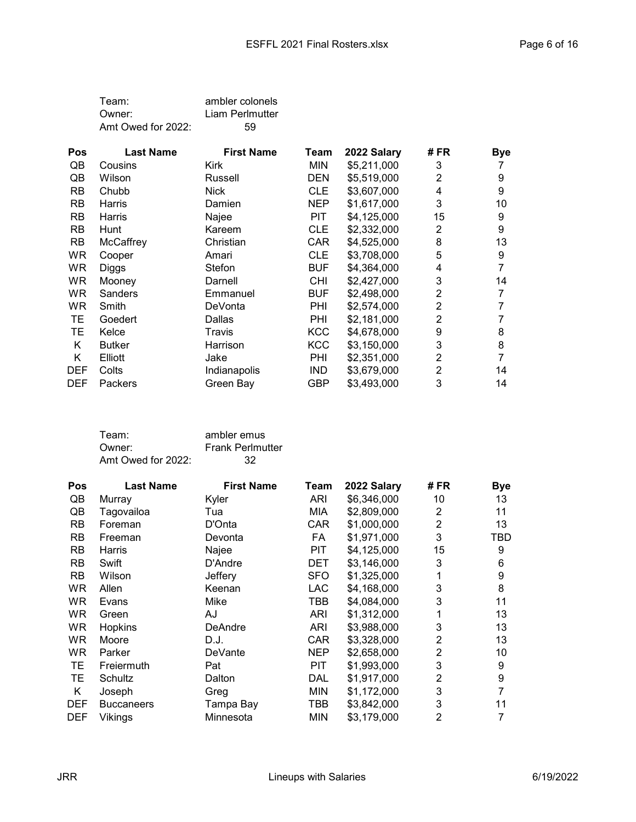| Team:              | ambler colonels |
|--------------------|-----------------|
| Owner:             | Liam Perlmutter |
| Amt Owed for 2022: | 59              |

| <b>Pos</b> | <b>Last Name</b> | <b>First Name</b> | Team       | 2022 Salary | # FR           | <b>Bye</b> |
|------------|------------------|-------------------|------------|-------------|----------------|------------|
| QB         | Cousins          | Kirk              | MIN        | \$5,211,000 | 3              |            |
| QB         | Wilson           | Russell           | <b>DEN</b> | \$5,519,000 | 2              | 9          |
| <b>RB</b>  | Chubb            | <b>Nick</b>       | <b>CLE</b> | \$3,607,000 | 4              | 9          |
| <b>RB</b>  | Harris           | Damien            | <b>NEP</b> | \$1,617,000 | 3              | 10         |
| <b>RB</b>  | Harris           | Najee             | <b>PIT</b> | \$4,125,000 | 15             | 9          |
| <b>RB</b>  | Hunt             | Kareem            | <b>CLE</b> | \$2,332,000 | 2              | 9          |
| <b>RB</b>  | McCaffrey        | Christian         | CAR        | \$4,525,000 | 8              | 13         |
| WR         | Cooper           | Amari             | <b>CLE</b> | \$3,708,000 | 5              | 9          |
| <b>WR</b>  | Diggs            | Stefon            | <b>BUF</b> | \$4,364,000 | 4              |            |
| <b>WR</b>  | Mooney           | Darnell           | <b>CHI</b> | \$2,427,000 | 3              | 14         |
| WR.        | Sanders          | Emmanuel          | <b>BUF</b> | \$2,498,000 | 2              |            |
| WR.        | Smith            | DeVonta           | PHI        | \$2,574,000 | $\overline{2}$ |            |
| TE.        | Goedert          | Dallas            | PHI        | \$2,181,000 | 2              |            |
| TЕ         | Kelce            | Travis            | <b>KCC</b> | \$4,678,000 | 9              | 8          |
| Κ          | <b>Butker</b>    | Harrison          | <b>KCC</b> | \$3,150,000 | 3              | 8          |
| Κ          | Elliott          | Jake              | PHI        | \$2,351,000 | 2              |            |
| <b>DEF</b> | Colts            | Indianapolis      | <b>IND</b> | \$3,679,000 | $\overline{2}$ | 14         |
| <b>DEF</b> | Packers          | Green Bay         | GBP        | \$3,493,000 | 3              | 14         |

| Team:              | ambler emus             |
|--------------------|-------------------------|
| Owner:             | <b>Frank Perlmutter</b> |
| Amt Owed for 2022: | 32                      |

| Pos        | <b>Last Name</b>  | <b>First Name</b> | Team       | 2022 Salary | # FR           | <b>Bye</b>     |
|------------|-------------------|-------------------|------------|-------------|----------------|----------------|
| QB         | Murray            | Kyler             | ARI        | \$6,346,000 | 10             | 13             |
| QB         | Tagovailoa        | Tua               | MIA        | \$2,809,000 | 2              | 11             |
| <b>RB</b>  | Foreman           | D'Onta            | <b>CAR</b> | \$1,000,000 | $\overline{2}$ | 13             |
| RB         | Freeman           | Devonta           | FA         | \$1,971,000 | 3              | TBD            |
| <b>RB</b>  | Harris            | Najee             | PIT        | \$4,125,000 | 15             | 9              |
| <b>RB</b>  | Swift             | D'Andre           | DET        | \$3,146,000 | 3              | 6              |
| <b>RB</b>  | Wilson            | Jeffery           | <b>SFO</b> | \$1,325,000 | 1              | 9              |
| WR.        | Allen             | Keenan            | LAC        | \$4,168,000 | 3              | 8              |
| WR.        | Evans             | Mike              | TBB        | \$4,084,000 | 3              | 11             |
| <b>WR</b>  | Green             | AJ                | ARI        | \$1,312,000 | 1              | 13             |
| <b>WR</b>  | Hopkins           | <b>DeAndre</b>    | ARI        | \$3,988,000 | 3              | 13             |
| <b>WR</b>  | Moore             | D.J.              | CAR        | \$3,328,000 | 2              | 13             |
| WR.        | Parker            | DeVante           | <b>NEP</b> | \$2,658,000 | 2              | 10             |
| TЕ         | Freiermuth        | Pat               | <b>PIT</b> | \$1,993,000 | 3              | 9              |
| TЕ         | Schultz           | Dalton            | DAL        | \$1,917,000 | $\overline{2}$ | 9              |
| Κ          | Joseph            | Greg              | <b>MIN</b> | \$1,172,000 | 3              | $\overline{7}$ |
| <b>DEF</b> | <b>Buccaneers</b> | Tampa Bay         | TBB        | \$3,842,000 | 3              | 11             |
| <b>DEF</b> | Vikings           | Minnesota         | MIN        | \$3,179,000 | $\overline{2}$ | 7              |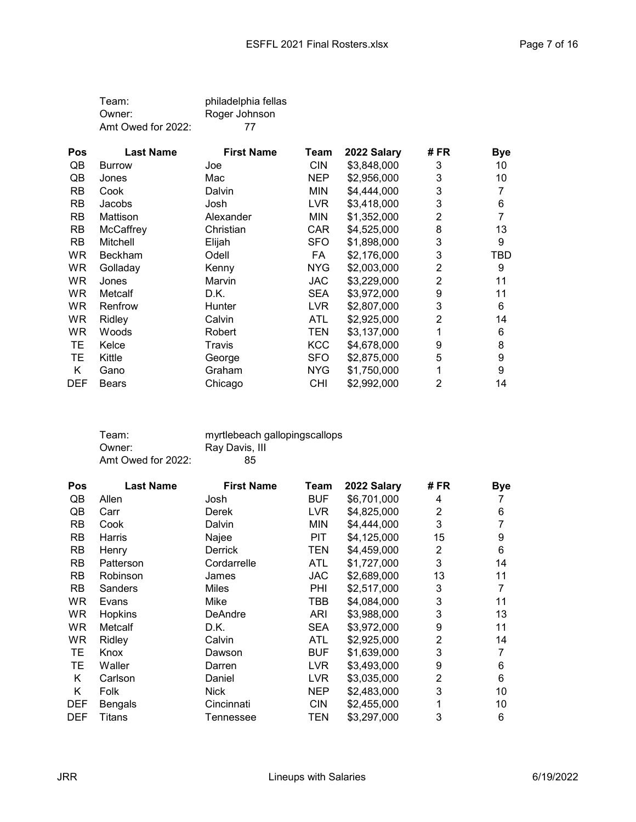| Team:              | philadelphia fellas |
|--------------------|---------------------|
| Owner:             | Roger Johnson       |
| Amt Owed for 2022: | 77                  |

| <b>Pos</b> | <b>Last Name</b> | <b>First Name</b> | Team       | 2022 Salary | # FR | <b>Bye</b> |
|------------|------------------|-------------------|------------|-------------|------|------------|
| QB         | <b>Burrow</b>    | Joe               | <b>CIN</b> | \$3,848,000 | 3    | 10         |
| QB         | Jones            | Mac               | <b>NEP</b> | \$2,956,000 | 3    | 10         |
| <b>RB</b>  | Cook             | Dalvin            | <b>MIN</b> | \$4.444.000 | 3    |            |
| <b>RB</b>  | Jacobs           | Josh              | LVR.       | \$3,418,000 | 3    | 6          |
| <b>RB</b>  | Mattison         | Alexander         | <b>MIN</b> | \$1,352,000 | 2    | 7          |
| <b>RB</b>  | McCaffrey        | Christian         | <b>CAR</b> | \$4,525,000 | 8    | 13         |
| <b>RB</b>  | Mitchell         | Elijah            | <b>SFO</b> | \$1,898,000 | 3    | 9          |
| WR.        | <b>Beckham</b>   | Odell             | FA         | \$2,176,000 | 3    | TBD        |
| <b>WR</b>  | Golladay         | Kenny             | <b>NYG</b> | \$2,003,000 | 2    | 9          |
| <b>WR</b>  | Jones            | Marvin            | JAC.       | \$3,229,000 | 2    | 11         |
| <b>WR</b>  | Metcalf          | D.K.              | <b>SEA</b> | \$3,972,000 | 9    | 11         |
| <b>WR</b>  | Renfrow          | Hunter            | <b>LVR</b> | \$2,807,000 | 3    | 6          |
| <b>WR</b>  | Ridley           | Calvin            | ATL        | \$2,925,000 | 2    | 14         |
| <b>WR</b>  | Woods            | Robert            | TEN        | \$3,137,000 | 1    | 6          |
| TЕ         | Kelce            | Travis            | <b>KCC</b> | \$4,678,000 | 9    | 8          |
| TЕ         | Kittle           | George            | <b>SFO</b> | \$2,875,000 | 5    | 9          |
| K          | Gano             | Graham            | NYG        | \$1,750,000 | 1    | 9          |
| <b>DEF</b> | <b>Bears</b>     | Chicago           | CHI        | \$2,992,000 | 2    | 14         |

| Team:              | myrtlebeach gallopingscallops |
|--------------------|-------------------------------|
| Owner:             | Ray Davis, III                |
| Amt Owed for 2022: | 85                            |

| Pos        | <b>Last Name</b> | <b>First Name</b> | Team       | 2022 Salary | # FR           | <b>Bye</b> |
|------------|------------------|-------------------|------------|-------------|----------------|------------|
| QB         | Allen            | Josh              | <b>BUF</b> | \$6,701,000 | 4              |            |
| QB         | Carr             | Derek             | LVR        | \$4,825,000 | 2              | 6          |
| <b>RB</b>  | Cook             | Dalvin            | MIN        | \$4,444,000 | 3              | 7          |
| <b>RB</b>  | Harris           | Najee             | PIT        | \$4,125,000 | 15             | 9          |
| <b>RB</b>  | Henry            | <b>Derrick</b>    | TEN        | \$4,459,000 | 2              | 6          |
| <b>RB</b>  | Patterson        | Cordarrelle       | <b>ATL</b> | \$1,727,000 | 3              | 14         |
| <b>RB</b>  | Robinson         | James             | JAC.       | \$2,689,000 | 13             | 11         |
| <b>RB</b>  | <b>Sanders</b>   | <b>Miles</b>      | PHI        | \$2,517,000 | 3              | 7          |
| WR         | Evans            | Mike              | TBB        | \$4,084,000 | 3              | 11         |
| WR         | Hopkins          | DeAndre           | ARI        | \$3,988,000 | 3              | 13         |
| WR.        | Metcalf          | D.K.              | <b>SEA</b> | \$3,972,000 | 9              | 11         |
| WR         | Ridley           | Calvin            | ATL        | \$2,925,000 | 2              | 14         |
| TЕ         | Knox             | Dawson            | <b>BUF</b> | \$1,639,000 | 3              | 7          |
| TЕ         | Waller           | Darren            | LVR.       | \$3,493,000 | 9              | 6          |
| Κ          | Carlson          | Daniel            | LVR        | \$3,035,000 | $\overline{2}$ | 6          |
| K          | Folk             | <b>Nick</b>       | <b>NEP</b> | \$2,483,000 | 3              | 10         |
| <b>DEF</b> | Bengals          | Cincinnati        | <b>CIN</b> | \$2,455,000 | 1              | 10         |
| <b>DEF</b> | <b>Titans</b>    | Tennessee         | TEN        | \$3,297,000 | 3              | 6          |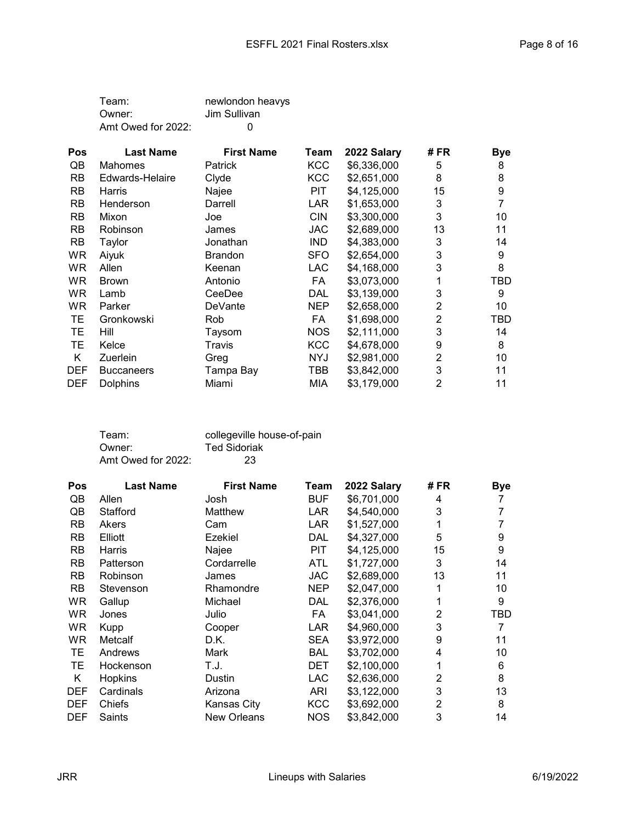| Team:              | newlondon heavys |
|--------------------|------------------|
| Owner:             | Jim Sullivan     |
| Amt Owed for 2022: | $\Omega$         |

| <b>Pos</b> | <b>Last Name</b>  | <b>First Name</b> | Team       | 2022 Salary | # FR           | <b>Bye</b> |
|------------|-------------------|-------------------|------------|-------------|----------------|------------|
| QB         | <b>Mahomes</b>    | <b>Patrick</b>    | <b>KCC</b> | \$6,336,000 | 5              | 8          |
| <b>RB</b>  | Edwards-Helaire   | Clyde             | <b>KCC</b> | \$2,651,000 | 8              | 8          |
| <b>RB</b>  | Harris            | Najee             | PIT.       | \$4,125,000 | 15             | 9          |
| <b>RB</b>  | Henderson         | Darrell           | LAR.       | \$1,653,000 | 3              | 7          |
| <b>RB</b>  | Mixon             | Joe               | <b>CIN</b> | \$3,300,000 | 3              | 10         |
| <b>RB</b>  | Robinson          | James             | <b>JAC</b> | \$2,689,000 | 13             | 11         |
| <b>RB</b>  | Taylor            | Jonathan          | <b>IND</b> | \$4,383,000 | 3              | 14         |
| WR         | Aiyuk             | <b>Brandon</b>    | <b>SFO</b> | \$2,654,000 | 3              | 9          |
| <b>WR</b>  | Allen             | Keenan            | <b>LAC</b> | \$4,168,000 | 3              | 8          |
| <b>WR</b>  | <b>Brown</b>      | Antonio           | FA         | \$3,073,000 | 1              | TBD        |
| <b>WR</b>  | Lamb              | CeeDee            | <b>DAL</b> | \$3,139,000 | 3              | 9          |
| WR.        | Parker            | DeVante           | <b>NEP</b> | \$2,658,000 | 2              | 10         |
| TE.        | Gronkowski        | <b>Rob</b>        | FA         | \$1,698,000 | 2              | TBD        |
| TЕ         | Hill              | Taysom            | <b>NOS</b> | \$2,111,000 | 3              | 14         |
| TЕ         | Kelce             | Travis            | <b>KCC</b> | \$4,678,000 | 9              | 8          |
| K          | Zuerlein          | Greg              | NYJ        | \$2,981,000 | 2              | 10         |
| <b>DEF</b> | <b>Buccaneers</b> | Tampa Bay         | TBB        | \$3,842,000 | 3              | 11         |
| <b>DEF</b> | <b>Dolphins</b>   | Miami             | MIA        | \$3,179,000 | $\overline{2}$ | 11         |

| Team:              | collegeville house-of-pain |
|--------------------|----------------------------|
| Owner:             | <b>Ted Sidoriak</b>        |
| Amt Owed for 2022: | 23                         |

| Pos        | <b>Last Name</b> | <b>First Name</b>  | Team       | 2022 Salary | # FR | <b>Bye</b> |
|------------|------------------|--------------------|------------|-------------|------|------------|
| QB         | Allen            | Josh               | <b>BUF</b> | \$6,701,000 | 4    |            |
| QB         | Stafford         | Matthew            | <b>LAR</b> | \$4,540,000 | 3    |            |
| <b>RB</b>  | Akers            | Cam                | <b>LAR</b> | \$1,527,000 |      |            |
| <b>RB</b>  | Elliott          | Ezekiel            | DAL        | \$4,327,000 | 5    | 9          |
| <b>RB</b>  | Harris           | Najee              | PIT        | \$4,125,000 | 15   | 9          |
| <b>RB</b>  | Patterson        | Cordarrelle        | ATL        | \$1,727,000 | 3    | 14         |
| <b>RB</b>  | Robinson         | James              | <b>JAC</b> | \$2,689,000 | 13   | 11         |
| <b>RB</b>  | Stevenson        | Rhamondre          | <b>NEP</b> | \$2,047,000 |      | 10         |
| WR         | Gallup           | Michael            | <b>DAL</b> | \$2,376,000 |      | 9          |
| WR         | Jones            | Julio              | FA         | \$3,041,000 | 2    | TBD        |
| WR         | Kupp             | Cooper             | <b>LAR</b> | \$4,960,000 | 3    | 7          |
| WR         | Metcalf          | D.K.               | SEA        | \$3,972,000 | 9    | 11         |
| TЕ         | Andrews          | Mark               | <b>BAL</b> | \$3,702,000 | 4    | 10         |
| TЕ         | Hockenson        | T.J.               | <b>DET</b> | \$2,100,000 |      | 6          |
| Κ          | Hopkins          | Dustin             | <b>LAC</b> | \$2,636,000 | 2    | 8          |
| <b>DEF</b> | Cardinals        | Arizona            | ARI        | \$3,122,000 | 3    | 13         |
| <b>DEF</b> | Chiefs           | Kansas City        | <b>KCC</b> | \$3,692,000 | 2    | 8          |
| <b>DEF</b> | Saints           | <b>New Orleans</b> | <b>NOS</b> | \$3,842,000 | 3    | 14         |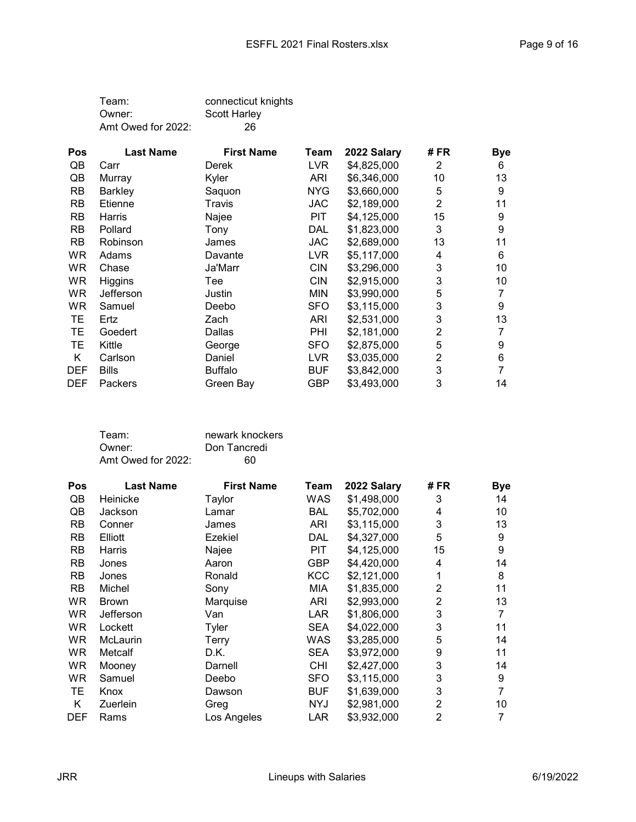| Team:              | connecticut knights |
|--------------------|---------------------|
| Owner:             | <b>Scott Harley</b> |
| Amt Owed for 2022: | 26                  |

| <b>Pos</b> | <b>Last Name</b> | <b>First Name</b> | Team       | 2022 Salary | # FR           | <b>Bye</b> |
|------------|------------------|-------------------|------------|-------------|----------------|------------|
| QB         | Carr             | <b>Derek</b>      | LVR.       | \$4,825,000 | 2              | 6          |
| QB         | Murray           | Kyler             | ARI        | \$6,346,000 | 10             | 13         |
| <b>RB</b>  | <b>Barkley</b>   | Saquon            | <b>NYG</b> | \$3,660,000 | 5              | 9          |
| <b>RB</b>  | Etienne          | Travis            | JAC        | \$2,189,000 | $\overline{2}$ | 11         |
| <b>RB</b>  | Harris           | Najee             | PIT        | \$4,125,000 | 15             | 9          |
| <b>RB</b>  | Pollard          | Tony              | DAL        | \$1,823,000 | 3              | 9          |
| <b>RB</b>  | Robinson         | James             | <b>JAC</b> | \$2,689,000 | 13             | 11         |
| WR.        | Adams            | Davante           | LVR        | \$5,117,000 | 4              | 6          |
| <b>WR</b>  | Chase            | Ja'Marr           | <b>CIN</b> | \$3,296,000 | 3              | 10         |
| <b>WR</b>  | Higgins          | Tee               | <b>CIN</b> | \$2,915,000 | 3              | 10         |
| <b>WR</b>  | Jefferson        | Justin            | <b>MIN</b> | \$3,990,000 | 5              |            |
| WR.        | Samuel           | Deebo             | <b>SFO</b> | \$3,115,000 | 3              | 9          |
| TЕ         | Ertz             | Zach              | <b>ARI</b> | \$2,531,000 | 3              | 13         |
| TЕ         | Goedert          | Dallas            | PHI        | \$2,181,000 | 2              |            |
| TЕ         | Kittle           | George            | <b>SFO</b> | \$2,875,000 | 5              | 9          |
| Κ          | Carlson          | Daniel            | LVR.       | \$3,035,000 | 2              | 6          |
| <b>DEF</b> | <b>Bills</b>     | <b>Buffalo</b>    | <b>BUF</b> | \$3,842,000 | 3              |            |
| <b>DEF</b> | <b>Packers</b>   | Green Bay         | GBP        | \$3,493,000 | 3              | 14         |

| newark knockers |
|-----------------|
| Don Tancredi    |
| 60              |
|                 |

| <b>Pos</b> | <b>Last Name</b> | <b>First Name</b> | Team       | 2022 Salary | # FR           | <b>Bye</b> |
|------------|------------------|-------------------|------------|-------------|----------------|------------|
| QB         | Heinicke         | Taylor            | WAS        | \$1,498,000 | 3              | 14         |
| QB         | Jackson          | Lamar             | <b>BAL</b> | \$5,702,000 | 4              | 10         |
| <b>RB</b>  | Conner           | James             | ARI        | \$3,115,000 | 3              | 13         |
| <b>RB</b>  | Elliott          | Ezekiel           | DAL        | \$4,327,000 | 5              | 9          |
| <b>RB</b>  | Harris           | Najee             | <b>PIT</b> | \$4,125,000 | 15             | 9          |
| RB         | Jones            | Aaron             | <b>GBP</b> | \$4,420,000 | 4              | 14         |
| <b>RB</b>  | Jones            | Ronald            | <b>KCC</b> | \$2,121,000 | 1              | 8          |
| <b>RB</b>  | Michel           | Sony              | MIA        | \$1,835,000 | $\overline{2}$ | 11         |
| <b>WR</b>  | <b>Brown</b>     | Marquise          | ARI        | \$2,993,000 | $\overline{2}$ | 13         |
| <b>WR</b>  | Jefferson        | Van               | LAR        | \$1,806,000 | 3              | 7          |
| <b>WR</b>  | Lockett          | Tyler             | <b>SEA</b> | \$4,022,000 | 3              | 11         |
| <b>WR</b>  | <b>McLaurin</b>  | Terry             | WAS        | \$3,285,000 | 5              | 14         |
| <b>WR</b>  | Metcalf          | D.K.              | <b>SEA</b> | \$3,972,000 | 9              | 11         |
| <b>WR</b>  | Mooney           | Darnell           | <b>CHI</b> | \$2,427,000 | 3              | 14         |
| <b>WR</b>  | Samuel           | Deebo             | <b>SFO</b> | \$3,115,000 | 3              | 9          |
| TЕ         | Knox             | Dawson            | <b>BUF</b> | \$1,639,000 | 3              | 7          |
| Κ          | Zuerlein         | Greg              | <b>NYJ</b> | \$2,981,000 | $\overline{2}$ | 10         |
| <b>DEF</b> | Rams             | Los Angeles       | LAR        | \$3,932,000 | $\overline{2}$ | 7          |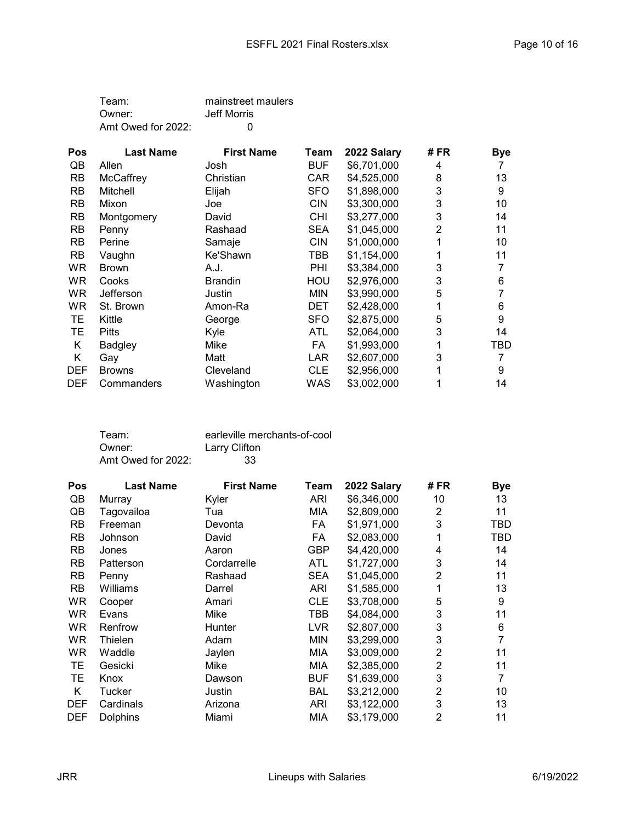| Team:              | mainstreet maulers |
|--------------------|--------------------|
| Owner:             | Jeff Morris        |
| Amt Owed for 2022: | $\Omega$           |

| <b>Pos</b> | <b>Last Name</b> | <b>First Name</b> | Team       | 2022 Salary | # FR | <b>Bye</b> |
|------------|------------------|-------------------|------------|-------------|------|------------|
| QB         | Allen            | Josh              | <b>BUF</b> | \$6,701,000 | 4    |            |
| RB         | McCaffrey        | Christian         | CAR        | \$4,525,000 | 8    | 13         |
| <b>RB</b>  | Mitchell         | Elijah            | <b>SFO</b> | \$1,898,000 | 3    | 9          |
| <b>RB</b>  | Mixon            | Joe               | <b>CIN</b> | \$3,300,000 | 3    | 10         |
| <b>RB</b>  | Montgomery       | David             | <b>CHI</b> | \$3,277,000 | 3    | 14         |
| <b>RB</b>  | Penny            | Rashaad           | <b>SEA</b> | \$1,045,000 | 2    | 11         |
| <b>RB</b>  | Perine           | Samaje            | <b>CIN</b> | \$1,000,000 |      | 10         |
| <b>RB</b>  | Vaughn           | Ke'Shawn          | TBB        | \$1,154,000 |      | 11         |
| <b>WR</b>  | <b>Brown</b>     | A.J.              | PHI        | \$3,384,000 | 3    |            |
| <b>WR</b>  | Cooks            | <b>Brandin</b>    | HOU        | \$2,976,000 | 3    | 6          |
| <b>WR</b>  | Jefferson        | Justin            | <b>MIN</b> | \$3,990,000 | 5    | 7          |
| WR.        | St. Brown        | Amon-Ra           | <b>DET</b> | \$2,428,000 | 1    | 6          |
| TЕ         | Kittle           | George            | <b>SFO</b> | \$2,875,000 | 5    | 9          |
| TЕ         | <b>Pitts</b>     | Kyle              | ATL        | \$2,064,000 | 3    | 14         |
| Κ          | <b>Badgley</b>   | Mike              | FA         | \$1,993,000 |      | TBD        |
| Κ          | Gay              | Matt              | LAR.       | \$2,607,000 | 3    |            |
| <b>DEF</b> | <b>Browns</b>    | Cleveland         | <b>CLE</b> | \$2,956,000 |      | 9          |
| <b>DEF</b> | Commanders       | Washington        | WAS        | \$3,002,000 |      | 14         |

| Team:              | earleville merchants-of-cool |
|--------------------|------------------------------|
| Owner:             | Larry Clifton                |
| Amt Owed for 2022: | 33                           |

| Pos        | <b>Last Name</b> | <b>First Name</b> | Team       | 2022 Salary | # FR           | <b>Bye</b> |
|------------|------------------|-------------------|------------|-------------|----------------|------------|
| QB         | Murray           | Kyler             | ARI        | \$6,346,000 | 10             | 13         |
| QB         | Tagovailoa       | Tua               | MIA        | \$2,809,000 | 2              | 11         |
| <b>RB</b>  | Freeman          | Devonta           | FA         | \$1,971,000 | 3              | <b>TBD</b> |
| <b>RB</b>  | Johnson          | David             | FA         | \$2,083,000 | 1              | TBD        |
| <b>RB</b>  | Jones            | Aaron             | GBP        | \$4,420,000 | 4              | 14         |
| <b>RB</b>  | Patterson        | Cordarrelle       | ATL        | \$1,727,000 | 3              | 14         |
| <b>RB</b>  | Penny            | Rashaad           | <b>SEA</b> | \$1,045,000 | 2              | 11         |
| <b>RB</b>  | Williams         | Darrel            | ARI        | \$1,585,000 | 1              | 13         |
| WR         | Cooper           | Amari             | <b>CLE</b> | \$3,708,000 | 5              | 9          |
| WR.        | Evans            | Mike              | TBB        | \$4,084,000 | 3              | 11         |
| WR.        | Renfrow          | Hunter            | LVR        | \$2,807,000 | 3              | 6          |
| <b>WR</b>  | Thielen          | Adam              | MIN        | \$3,299,000 | 3              | 7          |
| WR         | Waddle           | Jaylen            | MIA        | \$3,009,000 | $\overline{2}$ | 11         |
| TЕ         | Gesicki          | Mike              | MIA        | \$2,385,000 | $\overline{2}$ | 11         |
| TЕ         | Knox             | Dawson            | BUF        | \$1,639,000 | 3              | 7          |
| K          | Tucker           | Justin            | <b>BAL</b> | \$3,212,000 | 2              | 10         |
| <b>DEF</b> | Cardinals        | Arizona           | ARI        | \$3,122,000 | 3              | 13         |
| <b>DEF</b> | <b>Dolphins</b>  | Miami             | MIA        | \$3,179,000 | 2              | 11         |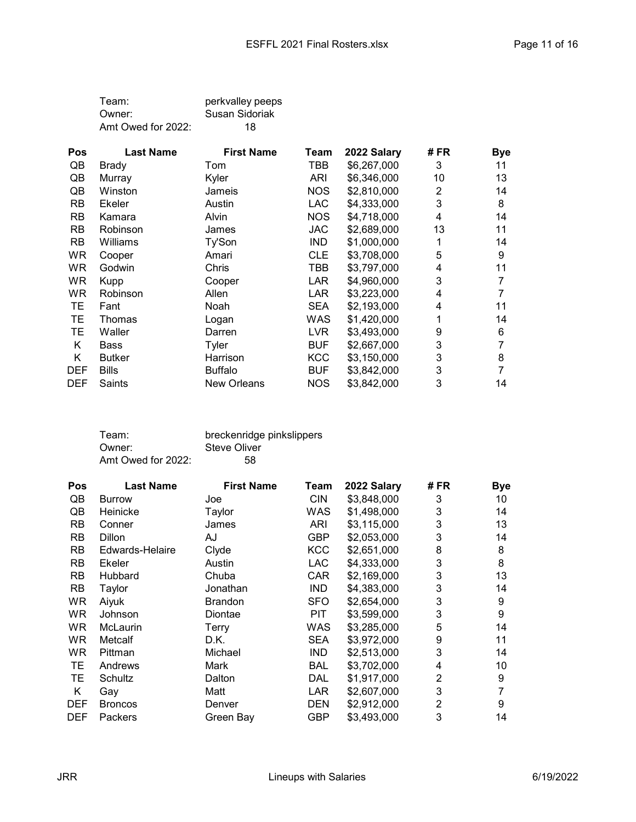| Team:              | perkvalley peeps |
|--------------------|------------------|
| Owner:             | Susan Sidoriak   |
| Amt Owed for 2022: | 18               |

| <b>Pos</b> | <b>Last Name</b> | <b>First Name</b> | Team       | 2022 Salary | # FR | <b>Bye</b> |
|------------|------------------|-------------------|------------|-------------|------|------------|
| QB         | Brady            | Tom               | TBB        | \$6,267,000 | 3    | 11         |
| QB         | Murray           | Kyler             | <b>ARI</b> | \$6,346,000 | 10   | 13         |
| QB         | Winston          | Jameis            | <b>NOS</b> | \$2,810,000 | 2    | 14         |
| <b>RB</b>  | <b>Ekeler</b>    | Austin            | <b>LAC</b> | \$4,333,000 | 3    | 8          |
| <b>RB</b>  | Kamara           | Alvin             | <b>NOS</b> | \$4,718,000 | 4    | 14         |
| <b>RB</b>  | Robinson         | James             | <b>JAC</b> | \$2,689,000 | 13   | 11         |
| <b>RB</b>  | Williams         | Ty'Son            | <b>IND</b> | \$1,000,000 | 1    | 14         |
| WR         | Cooper           | Amari             | <b>CLE</b> | \$3,708,000 | 5    | 9          |
| WR.        | Godwin           | Chris             | TBB        | \$3,797,000 | 4    | 11         |
| <b>WR</b>  | <b>Kupp</b>      | Cooper            | LAR        | \$4,960,000 | 3    |            |
| WR         | Robinson         | Allen             | LAR        | \$3,223,000 | 4    |            |
| TЕ         | Fant             | Noah              | <b>SEA</b> | \$2,193,000 | 4    | 11         |
| TЕ         | Thomas           | Logan             | WAS        | \$1,420,000 |      | 14         |
| ТE         | Waller           | Darren            | <b>LVR</b> | \$3,493,000 | 9    | 6          |
| Κ          | Bass             | Tyler             | <b>BUF</b> | \$2,667,000 | 3    |            |
| Κ          | Butker           | Harrison          | <b>KCC</b> | \$3,150,000 | 3    | 8          |
| <b>DEF</b> | <b>Bills</b>     | <b>Buffalo</b>    | <b>BUF</b> | \$3,842,000 | 3    |            |
| <b>DEF</b> | Saints           | New Orleans       | <b>NOS</b> | \$3,842,000 | 3    | 14         |

| Team:              | breckenridge pinkslippers |
|--------------------|---------------------------|
| Owner:             | Steve Oliver              |
| Amt Owed for 2022: | 58                        |

| <b>Pos</b> | <b>Last Name</b> | <b>First Name</b> | Team       | 2022 Salary | # FR | <b>Bye</b> |
|------------|------------------|-------------------|------------|-------------|------|------------|
| QB         | <b>Burrow</b>    | Joe               | <b>CIN</b> | \$3,848,000 | 3    | 10         |
| QB         | Heinicke         | Taylor            | WAS        | \$1,498,000 | 3    | 14         |
| <b>RB</b>  | Conner           | James             | ARI        | \$3,115,000 | 3    | 13         |
| <b>RB</b>  | Dillon           | AJ                | GBP        | \$2,053,000 | 3    | 14         |
| <b>RB</b>  | Edwards-Helaire  | Clyde             | <b>KCC</b> | \$2,651,000 | 8    | 8          |
| <b>RB</b>  | Ekeler           | Austin            | LAC.       | \$4,333,000 | 3    | 8          |
| <b>RB</b>  | <b>Hubbard</b>   | Chuba             | <b>CAR</b> | \$2,169,000 | 3    | 13         |
| <b>RB</b>  | Taylor           | Jonathan          | <b>IND</b> | \$4,383,000 | 3    | 14         |
| WR         | Aiyuk            | <b>Brandon</b>    | <b>SFO</b> | \$2,654,000 | 3    | 9          |
| <b>WR</b>  | Johnson          | Diontae           | PIT        | \$3,599,000 | 3    | 9          |
| <b>WR</b>  | <b>McLaurin</b>  | Terry             | WAS        | \$3,285,000 | 5    | 14         |
| <b>WR</b>  | Metcalf          | D.K.              | <b>SEA</b> | \$3,972,000 | 9    | 11         |
| <b>WR</b>  | Pittman          | Michael           | <b>IND</b> | \$2,513,000 | 3    | 14         |
| TЕ         | Andrews          | Mark              | BAL        | \$3,702,000 | 4    | 10         |
| TЕ         | Schultz          | Dalton            | DAL        | \$1,917,000 | 2    | 9          |
| Κ          | Gay              | Matt              | LAR        | \$2,607,000 | 3    | 7          |
| <b>DEF</b> | <b>Broncos</b>   | Denver            | <b>DEN</b> | \$2,912,000 | 2    | 9          |
| <b>DEF</b> | Packers          | Green Bay         | <b>GBP</b> | \$3,493,000 | 3    | 14         |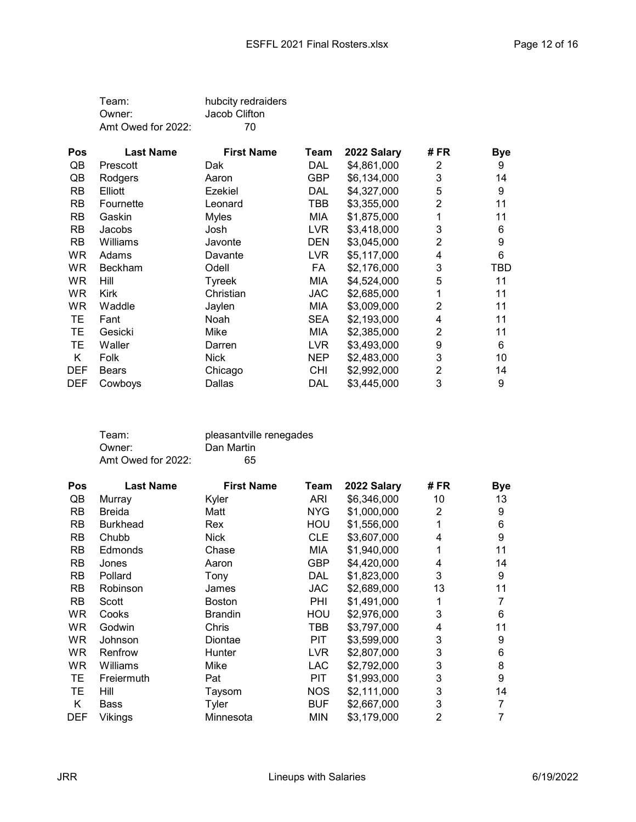| Team:              | hubcity redraiders |
|--------------------|--------------------|
| Owner:             | Jacob Clifton      |
| Amt Owed for 2022: | 70                 |

| <b>Pos</b> | <b>Last Name</b> | <b>First Name</b> | Team       | 2022 Salary | # FR | <b>Bye</b> |
|------------|------------------|-------------------|------------|-------------|------|------------|
| QB         | Prescott         | Dak               | DAL        | \$4,861,000 | 2    | 9          |
| QB         | Rodgers          | Aaron             | <b>GBP</b> | \$6,134,000 | 3    | 14         |
| <b>RB</b>  | Elliott          | Ezekiel           | DAL        | \$4,327,000 | 5    | 9          |
| <b>RB</b>  | Fournette        | Leonard           | TBB        | \$3,355,000 | 2    | 11         |
| <b>RB</b>  | Gaskin           | <b>Myles</b>      | <b>MIA</b> | \$1,875,000 |      | 11         |
| <b>RB</b>  | Jacobs           | Josh              | <b>LVR</b> | \$3,418,000 | 3    | 6          |
| <b>RB</b>  | Williams         | Javonte           | DEN        | \$3,045,000 | 2    | 9          |
| WR.        | Adams            | Davante           | <b>LVR</b> | \$5,117,000 | 4    | 6          |
| WR.        | <b>Beckham</b>   | Odell             | FA         | \$2,176,000 | 3    | TBD        |
| WR.        | Hill             | Tyreek            | <b>MIA</b> | \$4,524,000 | 5    | 11         |
| <b>WR</b>  | <b>Kirk</b>      | Christian         | JAC        | \$2,685,000 | 1    | 11         |
| WR.        | Waddle           | Jaylen            | MIA        | \$3,009,000 | 2    | 11         |
| TЕ         | Fant             | Noah              | <b>SEA</b> | \$2,193,000 | 4    | 11         |
| TЕ         | Gesicki          | Mike              | MIA        | \$2,385,000 | 2    | 11         |
| TЕ         | Waller           | Darren            | LVR        | \$3,493,000 | 9    | 6          |
| Κ          | Folk             | <b>Nick</b>       | NEP        | \$2,483,000 | 3    | 10         |
| <b>DEF</b> | <b>Bears</b>     | Chicago           | <b>CHI</b> | \$2,992,000 | 2    | 14         |
| <b>DEF</b> | Cowboys          | Dallas            | DAL        | \$3,445,000 | 3    | 9          |

| Team:              | pleasantville renegades |
|--------------------|-------------------------|
| Owner:             | Dan Martin              |
| Amt Owed for 2022: | 65                      |

| Pos        | <b>Last Name</b> | <b>First Name</b> | Team       | 2022 Salary | # FR | <b>Bye</b> |
|------------|------------------|-------------------|------------|-------------|------|------------|
| QB         | Murray           | Kyler             | ARI        | \$6,346,000 | 10   | 13         |
| <b>RB</b>  | Breida           | Matt              | <b>NYG</b> | \$1,000,000 | 2    | 9          |
| <b>RB</b>  | <b>Burkhead</b>  | Rex               | HOU        | \$1,556,000 | 1    | 6          |
| <b>RB</b>  | Chubb            | <b>Nick</b>       | <b>CLE</b> | \$3,607,000 | 4    | 9          |
| <b>RB</b>  | Edmonds          | Chase             | MIA        | \$1,940,000 |      | 11         |
| <b>RB</b>  | Jones            | Aaron             | <b>GBP</b> | \$4,420,000 | 4    | 14         |
| <b>RB</b>  | Pollard          | Tony              | DAL        | \$1,823,000 | 3    | 9          |
| <b>RB</b>  | Robinson         | James             | <b>JAC</b> | \$2,689,000 | 13   | 11         |
| <b>RB</b>  | Scott            | <b>Boston</b>     | <b>PHI</b> | \$1,491,000 |      | 7          |
| <b>WR</b>  | Cooks            | <b>Brandin</b>    | HOU        | \$2,976,000 | 3    | 6          |
| <b>WR</b>  | Godwin           | Chris             | TBB        | \$3,797,000 | 4    | 11         |
| WR.        | Johnson          | Diontae           | PIT        | \$3,599,000 | 3    | 9          |
| <b>WR</b>  | Renfrow          | Hunter            | <b>LVR</b> | \$2,807,000 | 3    | 6          |
| <b>WR</b>  | Williams         | Mike              | <b>LAC</b> | \$2,792,000 | 3    | 8          |
| TЕ         | Freiermuth       | Pat               | <b>PIT</b> | \$1,993,000 | 3    | 9          |
| TЕ         | Hill             | Taysom            | <b>NOS</b> | \$2,111,000 | 3    | 14         |
| K          | Bass             | Tyler             | <b>BUF</b> | \$2,667,000 | 3    | 7          |
| <b>DEF</b> | Vikings          | Minnesota         | MIN        | \$3,179,000 | 2    | 7          |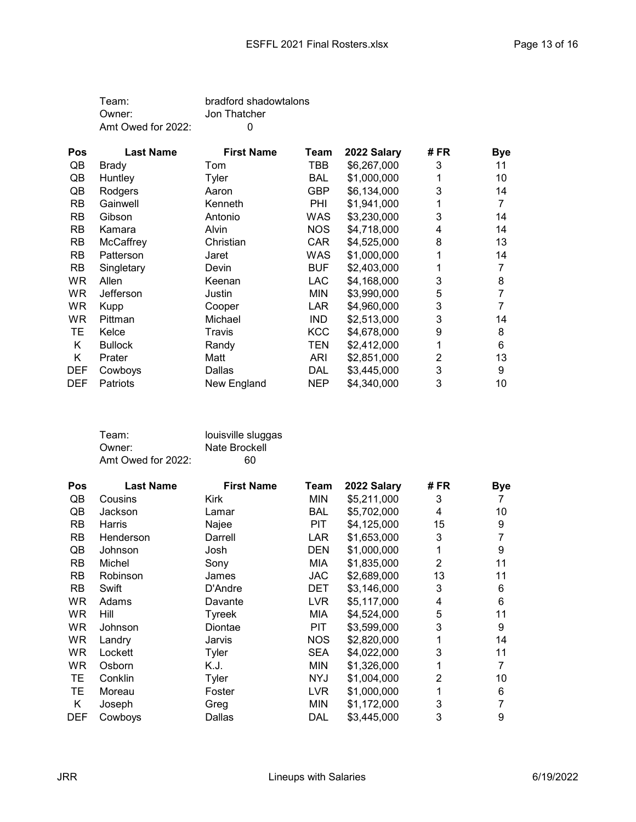| Team:              | bradford shadowtalons |
|--------------------|-----------------------|
| Owner:             | Jon Thatcher          |
| Amt Owed for 2022: | $\Omega$              |

| <b>Pos</b> | <b>Last Name</b> | <b>First Name</b> | Team       | 2022 Salary | # FR | <b>Bye</b> |
|------------|------------------|-------------------|------------|-------------|------|------------|
| QB         | Brady            | Tom               | TBB        | \$6,267,000 | 3    | 11         |
| QB         | Huntley          | Tyler             | BAL        | \$1,000,000 |      | 10         |
| QB         | Rodgers          | Aaron             | GBP        | \$6,134,000 | 3    | 14         |
| <b>RB</b>  | Gainwell         | Kenneth           | PHI        | \$1,941,000 |      |            |
| <b>RB</b>  | Gibson           | Antonio           | WAS        | \$3,230,000 | 3    | 14         |
| <b>RB</b>  | Kamara           | Alvin             | <b>NOS</b> | \$4,718,000 | 4    | 14         |
| <b>RB</b>  | McCaffrey        | Christian         | <b>CAR</b> | \$4,525,000 | 8    | 13         |
| <b>RB</b>  | Patterson        | Jaret             | WAS        | \$1,000,000 |      | 14         |
| <b>RB</b>  | Singletary       | Devin             | <b>BUF</b> | \$2,403,000 |      |            |
| <b>WR</b>  | Allen            | Keenan            | <b>LAC</b> | \$4,168,000 | 3    | 8          |
| WR.        | Jefferson        | Justin            | <b>MIN</b> | \$3,990,000 | 5    |            |
| <b>WR</b>  | <b>Kupp</b>      | Cooper            | LAR        | \$4,960,000 | 3    |            |
| WR.        | Pittman          | Michael           | <b>IND</b> | \$2,513,000 | 3    | 14         |
| TЕ         | Kelce            | Travis            | <b>KCC</b> | \$4,678,000 | 9    | 8          |
| Κ          | <b>Bullock</b>   | Randy             | TEN        | \$2,412,000 |      | 6          |
| K          | Prater           | Matt              | ARI        | \$2,851,000 | 2    | 13         |
| <b>DEF</b> | Cowboys          | Dallas            | DAL        | \$3,445,000 | 3    | 9          |
| <b>DEF</b> | Patriots         | New England       | <b>NEP</b> | \$4,340,000 | 3    | 10         |

| Team:              | louisville sluggas |
|--------------------|--------------------|
| Owner:             | Nate Brockell      |
| Amt Owed for 2022: | 60                 |

| Pos        | <b>Last Name</b> | <b>First Name</b> | Team       | 2022 Salary | # FR           | <b>Bye</b> |
|------------|------------------|-------------------|------------|-------------|----------------|------------|
| QB         | Cousins          | <b>Kirk</b>       | <b>MIN</b> | \$5,211,000 | 3              |            |
| QB         | Jackson          | Lamar             | <b>BAL</b> | \$5,702,000 | 4              | 10         |
| <b>RB</b>  | Harris           | Najee             | <b>PIT</b> | \$4,125,000 | 15             | 9          |
| <b>RB</b>  | Henderson        | Darrell           | <b>LAR</b> | \$1,653,000 | 3              | 7          |
| QB         | Johnson          | Josh              | <b>DEN</b> | \$1,000,000 |                | 9          |
| <b>RB</b>  | Michel           | Sony              | MIA        | \$1,835,000 | 2              | 11         |
| <b>RB</b>  | Robinson         | James             | JAC.       | \$2,689,000 | 13             | 11         |
| <b>RB</b>  | Swift            | D'Andre           | DET        | \$3,146,000 | 3              | 6          |
| WR.        | Adams            | Davante           | <b>LVR</b> | \$5,117,000 | 4              | 6          |
| <b>WR</b>  | Hill             | Tyreek            | MIA        | \$4,524,000 | 5              | 11         |
| <b>WR</b>  | Johnson          | Diontae           | PIT        | \$3,599,000 | 3              | 9          |
| <b>WR</b>  | Landry           | Jarvis            | <b>NOS</b> | \$2,820,000 |                | 14         |
| <b>WR</b>  | Lockett          | Tyler             | <b>SEA</b> | \$4,022,000 | 3              | 11         |
| WR.        | Osborn           | K.J.              | <b>MIN</b> | \$1,326,000 |                | 7          |
| TЕ         | Conklin          | Tyler             | <b>NYJ</b> | \$1,004,000 | $\overline{2}$ | 10         |
| TЕ         | Moreau           | Foster            | <b>LVR</b> | \$1,000,000 |                | 6          |
| Κ          | Joseph           | Greg              | <b>MIN</b> | \$1,172,000 | 3              | 7          |
| <b>DEF</b> | Cowboys          | Dallas            | DAL        | \$3,445,000 | 3              | 9          |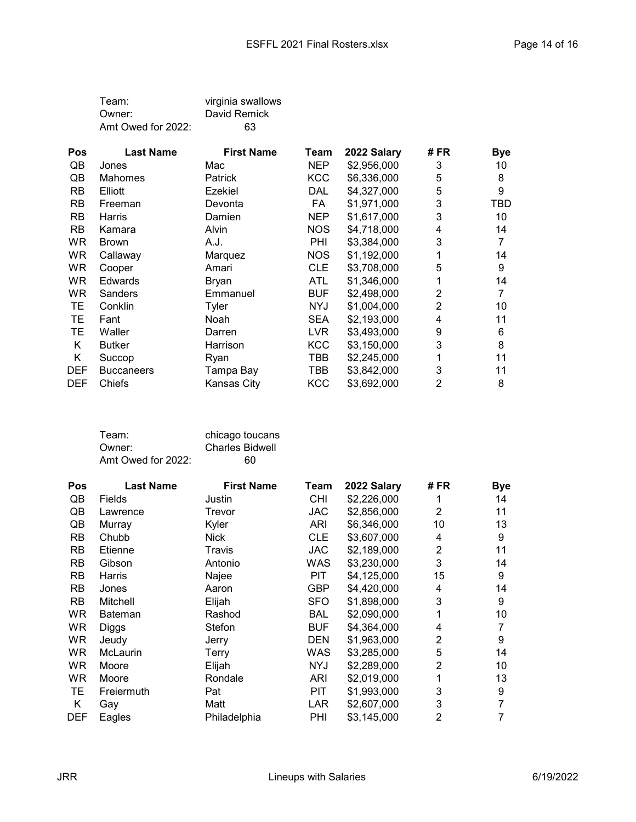| Team:              | virginia swallows |
|--------------------|-------------------|
| Owner:             | David Remick      |
| Amt Owed for 2022: | 63                |

| <b>Pos</b> | <b>Last Name</b>  | <b>First Name</b> | Team       | 2022 Salary | # FR | <b>Bye</b> |
|------------|-------------------|-------------------|------------|-------------|------|------------|
| QB         | Jones             | Mac               | NEP.       | \$2,956,000 | 3    | 10         |
| QB         | <b>Mahomes</b>    | <b>Patrick</b>    | <b>KCC</b> | \$6,336,000 | 5    | 8          |
| <b>RB</b>  | Elliott           | Ezekiel           | DAL        | \$4,327,000 | 5    | 9          |
| <b>RB</b>  | Freeman           | Devonta           | FA         | \$1,971,000 | 3    | TBD        |
| <b>RB</b>  | Harris            | Damien            | <b>NEP</b> | \$1,617,000 | 3    | 10         |
| <b>RB</b>  | Kamara            | <b>Alvin</b>      | <b>NOS</b> | \$4,718,000 | 4    | 14         |
| <b>WR</b>  | <b>Brown</b>      | A.J.              | PHI        | \$3,384,000 | 3    |            |
| <b>WR</b>  | Callaway          | Marquez           | <b>NOS</b> | \$1,192,000 |      | 14         |
| <b>WR</b>  | Cooper            | Amari             | <b>CLE</b> | \$3,708,000 | 5    | 9          |
| <b>WR</b>  | <b>Edwards</b>    | Bryan             | <b>ATL</b> | \$1,346,000 |      | 14         |
| WR         | Sanders           | Emmanuel          | <b>BUF</b> | \$2,498,000 | 2    | 7          |
| TЕ         | Conklin           | Tyler             | NYJ        | \$1,004,000 | 2    | 10         |
| TЕ         | Fant              | Noah              | <b>SEA</b> | \$2,193,000 | 4    | 11         |
| TЕ         | Waller            | Darren            | <b>LVR</b> | \$3,493,000 | 9    | 6          |
| K          | <b>Butker</b>     | Harrison          | <b>KCC</b> | \$3,150,000 | 3    | 8          |
| Κ          | Succop            | Ryan              | TBB        | \$2,245,000 |      | 11         |
| <b>DEF</b> | <b>Buccaneers</b> | Tampa Bay         | TBB        | \$3,842,000 | 3    | 11         |
| <b>DEF</b> | Chiefs            | Kansas City       | <b>KCC</b> | \$3,692,000 | 2    | 8          |

| Team:              | chicago toucans        |
|--------------------|------------------------|
| Owner:             | <b>Charles Bidwell</b> |
| Amt Owed for 2022: | 60                     |

| Pos        | <b>Last Name</b> | <b>First Name</b> | Team       | 2022 Salary | # FR           | <b>Bye</b> |
|------------|------------------|-------------------|------------|-------------|----------------|------------|
| QB         | Fields           | Justin            | CHI        | \$2,226,000 | 1              | 14         |
| QB         | Lawrence         | Trevor            | <b>JAC</b> | \$2,856,000 | 2              | 11         |
| QB         | Murray           | Kyler             | <b>ARI</b> | \$6,346,000 | 10             | 13         |
| <b>RB</b>  | Chubb            | <b>Nick</b>       | <b>CLE</b> | \$3,607,000 | 4              | 9          |
| <b>RB</b>  | Etienne          | Travis            | <b>JAC</b> | \$2,189,000 | 2              | 11         |
| <b>RB</b>  | Gibson           | Antonio           | WAS        | \$3,230,000 | 3              | 14         |
| <b>RB</b>  | Harris           | Najee             | PIT        | \$4,125,000 | 15             | 9          |
| <b>RB</b>  | Jones            | Aaron             | <b>GBP</b> | \$4,420,000 | 4              | 14         |
| <b>RB</b>  | Mitchell         | Elijah            | <b>SFO</b> | \$1,898,000 | 3              | 9          |
| WR         | <b>Bateman</b>   | Rashod            | <b>BAL</b> | \$2,090,000 | 1              | 10         |
| WR         | Diggs            | Stefon            | <b>BUF</b> | \$4,364,000 | 4              | 7          |
| WR.        | Jeudy            | Jerry             | <b>DEN</b> | \$1,963,000 | $\overline{2}$ | 9          |
| <b>WR</b>  | <b>McLaurin</b>  | <b>Terry</b>      | WAS        | \$3,285,000 | 5              | 14         |
| <b>WR</b>  | Moore            | Elijah            | <b>NYJ</b> | \$2,289,000 | $\overline{2}$ | 10         |
| WR         | Moore            | Rondale           | ARI        | \$2,019,000 | 1              | 13         |
| TЕ         | Freiermuth       | Pat               | <b>PIT</b> | \$1,993,000 | 3              | 9          |
| Κ          | Gay              | Matt              | LAR        | \$2,607,000 | 3              | 7          |
| <b>DEF</b> | Eagles           | Philadelphia      | PHI        | \$3,145,000 | $\overline{2}$ |            |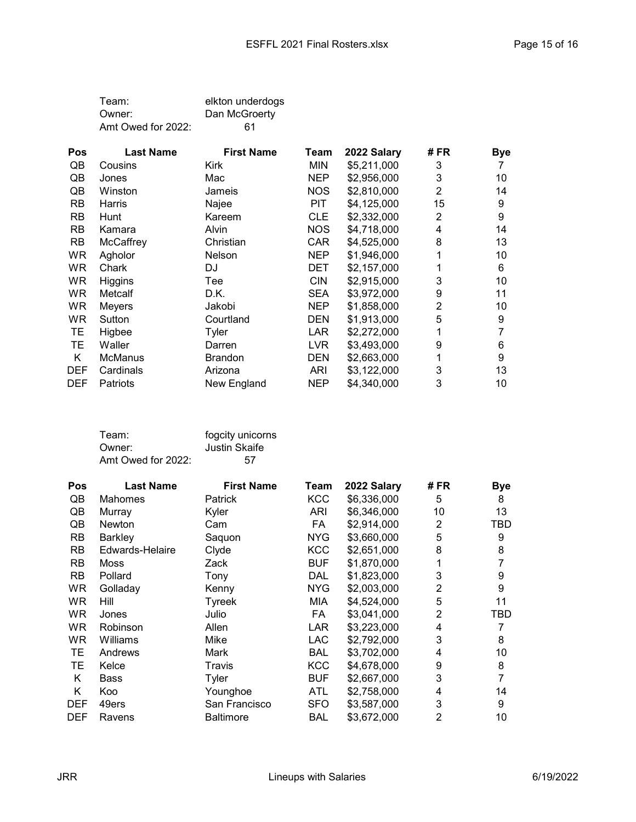| Team:              | elkton underdogs |
|--------------------|------------------|
| Owner:             | Dan McGroerty    |
| Amt Owed for 2022: | 61               |

| <b>Pos</b> | <b>Last Name</b> | <b>First Name</b> | Team       | 2022 Salary | # FR | <b>Bye</b> |
|------------|------------------|-------------------|------------|-------------|------|------------|
| QB         | Cousins          | Kirk              | MIN        | \$5,211,000 | 3    |            |
| QB         | Jones            | Mac               | <b>NEP</b> | \$2,956,000 | 3    | 10         |
| QB         | Winston          | Jameis            | <b>NOS</b> | \$2,810,000 | 2    | 14         |
| RB         | Harris           | Najee             | PIT        | \$4,125,000 | 15   | 9          |
| <b>RB</b>  | Hunt             | Kareem            | <b>CLE</b> | \$2,332,000 | 2    | 9          |
| <b>RB</b>  | Kamara           | Alvin             | <b>NOS</b> | \$4,718,000 | 4    | 14         |
| <b>RB</b>  | McCaffrey        | Christian         | <b>CAR</b> | \$4,525,000 | 8    | 13         |
| WR         | Agholor          | Nelson            | <b>NEP</b> | \$1,946,000 |      | 10         |
| <b>WR</b>  | Chark            | DJ                | <b>DET</b> | \$2,157,000 |      | 6          |
| <b>WR</b>  | Higgins          | Tee               | <b>CIN</b> | \$2,915,000 | 3    | 10         |
| <b>WR</b>  | Metcalf          | D.K.              | <b>SEA</b> | \$3,972,000 | 9    | 11         |
| WR         | Meyers           | Jakobi            | <b>NEP</b> | \$1,858,000 | 2    | 10         |
| WR.        | Sutton           | Courtland         | DEN        | \$1,913,000 | 5    | 9          |
| TE         | Higbee           | Tyler             | LAR        | \$2,272,000 | 1    |            |
| ТE         | Waller           | Darren            | <b>LVR</b> | \$3,493,000 | 9    | 6          |
| Κ          | <b>McManus</b>   | Brandon           | DEN        | \$2,663,000 |      | 9          |
| <b>DEF</b> | Cardinals        | Arizona           | ARI        | \$3,122,000 | 3    | 13         |
| <b>DEF</b> | Patriots         | New England       | <b>NEP</b> | \$4,340,000 | 3    | 10         |

| Team:              | fogcity unicorns |
|--------------------|------------------|
| Owner:             | Justin Skaife    |
| Amt Owed for 2022: | .57              |

| <b>Pos</b> | <b>Last Name</b> | <b>First Name</b> | Team       | 2022 Salary | # FR           | <b>Bye</b>     |
|------------|------------------|-------------------|------------|-------------|----------------|----------------|
| QB         | Mahomes          | Patrick           | <b>KCC</b> | \$6,336,000 | 5              | 8              |
| QB         | Murray           | Kyler             | ARI        | \$6,346,000 | 10             | 13             |
| QB         | Newton           | Cam               | FA         | \$2,914,000 | 2              | TBD            |
| <b>RB</b>  | <b>Barkley</b>   | Saquon            | <b>NYG</b> | \$3,660,000 | 5              | 9              |
| <b>RB</b>  | Edwards-Helaire  | Clyde             | <b>KCC</b> | \$2,651,000 | 8              | 8              |
| <b>RB</b>  | Moss             | Zack              | <b>BUF</b> | \$1,870,000 |                | 7              |
| <b>RB</b>  | Pollard          | Tony              | <b>DAL</b> | \$1,823,000 | 3              | 9              |
| <b>WR</b>  | Golladay         | Kenny             | NYG        | \$2,003,000 | $\overline{c}$ | 9              |
| WR.        | Hill             | Tyreek            | MIA        | \$4,524,000 | 5              | 11             |
| <b>WR</b>  | Jones            | Julio             | FA.        | \$3,041,000 | 2              | TBD            |
| <b>WR</b>  | Robinson         | Allen             | LAR        | \$3,223,000 | 4              | 7              |
| <b>WR</b>  | Williams         | Mike              | <b>LAC</b> | \$2,792,000 | 3              | 8              |
| TE.        | Andrews          | Mark              | <b>BAL</b> | \$3,702,000 | 4              | 10             |
| TЕ         | Kelce            | Travis            | <b>KCC</b> | \$4,678,000 | 9              | 8              |
| K          | Bass             | Tyler             | <b>BUF</b> | \$2,667,000 | 3              | $\overline{7}$ |
| K          | Koo              | Younghoe          | <b>ATL</b> | \$2,758,000 | 4              | 14             |
| <b>DEF</b> | 49ers            | San Francisco     | <b>SFO</b> | \$3,587,000 | 3              | 9              |
| <b>DEF</b> | Ravens           | <b>Baltimore</b>  | BAL        | \$3,672,000 | $\overline{2}$ | 10             |